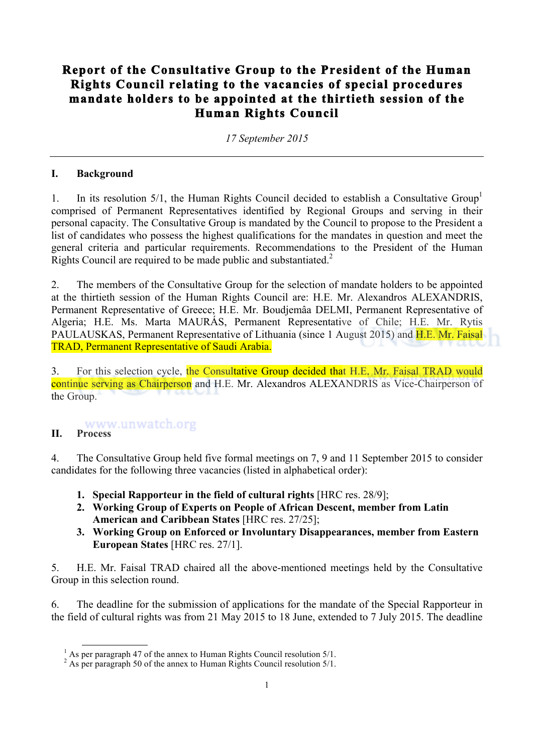# **Report of the Consultative Group to the President of the Human Rights Council relating to the vacancies of special procedures mandate holders to be appointed at the thirtieth session of the Human Rights Council**

*17 September 2015*

#### **I. Background**

1. In its resolution  $5/1$ , the Human Rights Council decided to establish a Consultative Group<sup>1</sup> comprised of Permanent Representatives identified by Regional Groups and serving in their personal capacity. The Consultative Group is mandated by the Council to propose to the President a list of candidates who possess the highest qualifications for the mandates in question and meet the general criteria and particular requirements. Recommendations to the President of the Human Rights Council are required to be made public and substantiated.<sup>2</sup>

2. The members of the Consultative Group for the selection of mandate holders to be appointed at the thirtieth session of the Human Rights Council are: H.E. Mr. Alexandros ALEXANDRIS, Permanent Representative of Greece; H.E. Mr. Boudjemâa DELMI, Permanent Representative of Algeria; H.E. Ms. Marta MAURÁS, Permanent Representative of Chile; H.E. Mr. Rytis PAULAUSKAS, Permanent Representative of Lithuania (since 1 August 2015) and H.E. Mr. Faisal TRAD, Permanent Representative of Saudi Arabia.

3. For this selection cycle, the Consultative Group decided that H.E. Mr. Faisal TRAD would continue serving as Chairperson and H.E. Mr. Alexandros ALEXANDRIS as Vice-Chairperson of the Group.

# **II. Process**

4. The Consultative Group held five formal meetings on 7, 9 and 11 September 2015 to consider candidates for the following three vacancies (listed in alphabetical order):

- **1. Special Rapporteur in the field of cultural rights** [HRC res. 28/9];
- **2. Working Group of Experts on People of African Descent, member from Latin American and Caribbean States** [HRC res. 27/25];
- **3. Working Group on Enforced or Involuntary Disappearances, member from Eastern European States** [HRC res. 27/1].

5. H.E. Mr. Faisal TRAD chaired all the above-mentioned meetings held by the Consultative Group in this selection round.

6. The deadline for the submission of applications for the mandate of the Special Rapporteur in the field of cultural rights was from 21 May 2015 to 18 June, extended to 7 July 2015. The deadline

 $<sup>1</sup>$  As per paragraph 47 of the annex to Human Rights Council resolution 5/1.</sup>

<sup>&</sup>lt;sup>2</sup> As per paragraph 50 of the annex to Human Rights Council resolution  $5/1$ .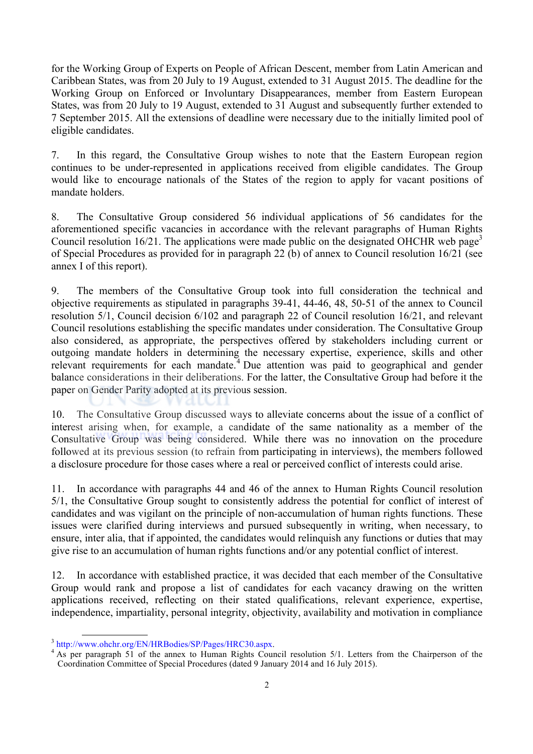for the Working Group of Experts on People of African Descent, member from Latin American and Caribbean States, was from 20 July to 19 August, extended to 31 August 2015. The deadline for the Working Group on Enforced or Involuntary Disappearances, member from Eastern European States, was from 20 July to 19 August, extended to 31 August and subsequently further extended to 7 September 2015. All the extensions of deadline were necessary due to the initially limited pool of eligible candidates.

7. In this regard, the Consultative Group wishes to note that the Eastern European region continues to be under-represented in applications received from eligible candidates. The Group would like to encourage nationals of the States of the region to apply for vacant positions of mandate holders.

8. The Consultative Group considered 56 individual applications of 56 candidates for the aforementioned specific vacancies in accordance with the relevant paragraphs of Human Rights Council resolution 16/21. The applications were made public on the designated OHCHR web page<sup>3</sup> of Special Procedures as provided for in paragraph 22 (b) of annex to Council resolution 16/21 (see annex I of this report).

9. The members of the Consultative Group took into full consideration the technical and objective requirements as stipulated in paragraphs 39-41, 44-46, 48, 50-51 of the annex to Council resolution 5/1, Council decision 6/102 and paragraph 22 of Council resolution 16/21, and relevant Council resolutions establishing the specific mandates under consideration. The Consultative Group also considered, as appropriate, the perspectives offered by stakeholders including current or outgoing mandate holders in determining the necessary expertise, experience, skills and other relevant requirements for each mandate.<sup>4</sup> Due attention was paid to geographical and gender balance considerations in their deliberations. For the latter, the Consultative Group had before it the paper on Gender Parity adopted at its previous session.

10. The Consultative Group discussed ways to alleviate concerns about the issue of a conflict of interest arising when, for example, a candidate of the same nationality as a member of the Consultative Group was being considered. While there was no innovation on the procedure followed at its previous session (to refrain from participating in interviews), the members followed a disclosure procedure for those cases where a real or perceived conflict of interests could arise.

11. In accordance with paragraphs 44 and 46 of the annex to Human Rights Council resolution 5/1, the Consultative Group sought to consistently address the potential for conflict of interest of candidates and was vigilant on the principle of non-accumulation of human rights functions. These issues were clarified during interviews and pursued subsequently in writing, when necessary, to ensure, inter alia, that if appointed, the candidates would relinquish any functions or duties that may give rise to an accumulation of human rights functions and/or any potential conflict of interest.

12. In accordance with established practice, it was decided that each member of the Consultative Group would rank and propose a list of candidates for each vacancy drawing on the written applications received, reflecting on their stated qualifications, relevant experience, expertise, independence, impartiality, personal integrity, objectivity, availability and motivation in compliance

 $3 \text{ http://www.ohchr.org/EN/HRBodies/SP/Pages/HRC30.aspx.}$ <br> $4 \text{ As per paragraph 51 of the annex to Human Rights Council resolution 5/1. Letters from the Chairperson of the$ Coordination Committee of Special Procedures (dated 9 January 2014 and 16 July 2015).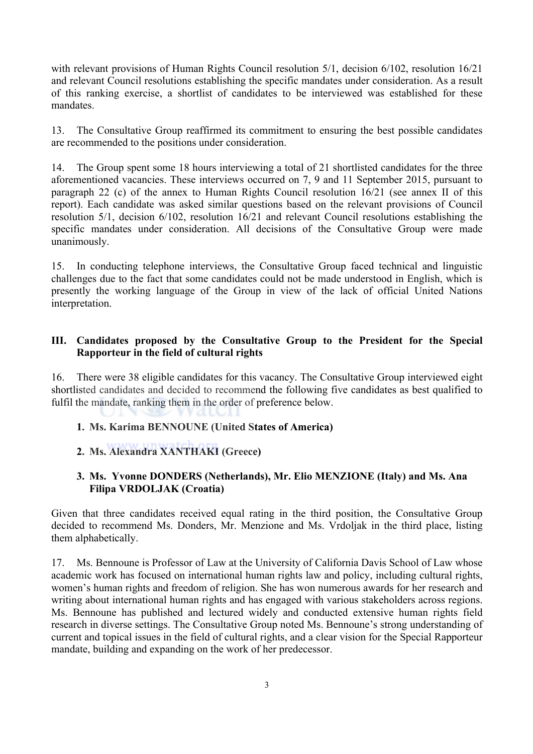with relevant provisions of Human Rights Council resolution 5/1, decision 6/102, resolution 16/21 and relevant Council resolutions establishing the specific mandates under consideration. As a result of this ranking exercise, a shortlist of candidates to be interviewed was established for these mandates.

13. The Consultative Group reaffirmed its commitment to ensuring the best possible candidates are recommended to the positions under consideration.

14. The Group spent some 18 hours interviewing a total of 21 shortlisted candidates for the three aforementioned vacancies. These interviews occurred on 7, 9 and 11 September 2015, pursuant to paragraph 22 (c) of the annex to Human Rights Council resolution 16/21 (see annex II of this report). Each candidate was asked similar questions based on the relevant provisions of Council resolution 5/1, decision 6/102, resolution 16/21 and relevant Council resolutions establishing the specific mandates under consideration. All decisions of the Consultative Group were made unanimously.

15. In conducting telephone interviews, the Consultative Group faced technical and linguistic challenges due to the fact that some candidates could not be made understood in English, which is presently the working language of the Group in view of the lack of official United Nations interpretation.

#### **III. Candidates proposed by the Consultative Group to the President for the Special Rapporteur in the field of cultural rights**

16. There were 38 eligible candidates for this vacancy. The Consultative Group interviewed eight shortlisted candidates and decided to recommend the following five candidates as best qualified to fulfil the mandate, ranking them in the order of preference below.

#### **1. Ms. Karima BENNOUNE (United States of America)**

#### **2. Ms. Alexandra XANTHAKI (Greece)**

#### **3. Ms. Yvonne DONDERS (Netherlands), Mr. Elio MENZIONE (Italy) and Ms. Ana Filipa VRDOLJAK (Croatia)**

Given that three candidates received equal rating in the third position, the Consultative Group decided to recommend Ms. Donders, Mr. Menzione and Ms. Vrdoljak in the third place, listing them alphabetically.

17. Ms. Bennoune is Professor of Law at the University of California Davis School of Law whose academic work has focused on international human rights law and policy, including cultural rights, women's human rights and freedom of religion. She has won numerous awards for her research and writing about international human rights and has engaged with various stakeholders across regions. Ms. Bennoune has published and lectured widely and conducted extensive human rights field research in diverse settings. The Consultative Group noted Ms. Bennoune's strong understanding of current and topical issues in the field of cultural rights, and a clear vision for the Special Rapporteur mandate, building and expanding on the work of her predecessor.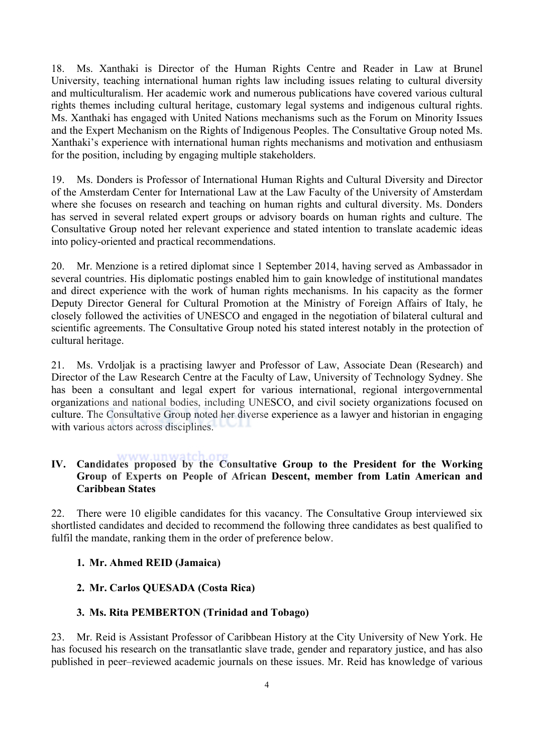18. Ms. Xanthaki is Director of the Human Rights Centre and Reader in Law at Brunel University, teaching international human rights law including issues relating to cultural diversity and multiculturalism. Her academic work and numerous publications have covered various cultural rights themes including cultural heritage, customary legal systems and indigenous cultural rights. Ms. Xanthaki has engaged with United Nations mechanisms such as the Forum on Minority Issues and the Expert Mechanism on the Rights of Indigenous Peoples. The Consultative Group noted Ms. Xanthaki's experience with international human rights mechanisms and motivation and enthusiasm for the position, including by engaging multiple stakeholders.

19. Ms. Donders is Professor of International Human Rights and Cultural Diversity and Director of the Amsterdam Center for International Law at the Law Faculty of the University of Amsterdam where she focuses on research and teaching on human rights and cultural diversity. Ms. Donders has served in several related expert groups or advisory boards on human rights and culture. The Consultative Group noted her relevant experience and stated intention to translate academic ideas into policy-oriented and practical recommendations.

20. Mr. Menzione is a retired diplomat since 1 September 2014, having served as Ambassador in several countries. His diplomatic postings enabled him to gain knowledge of institutional mandates and direct experience with the work of human rights mechanisms. In his capacity as the former Deputy Director General for Cultural Promotion at the Ministry of Foreign Affairs of Italy, he closely followed the activities of UNESCO and engaged in the negotiation of bilateral cultural and scientific agreements. The Consultative Group noted his stated interest notably in the protection of cultural heritage.

21. Ms. Vrdoljak is a practising lawyer and Professor of Law, Associate Dean (Research) and Director of the Law Research Centre at the Faculty of Law, University of Technology Sydney. She has been a consultant and legal expert for various international, regional intergovernmental organizations and national bodies, including UNESCO, and civil society organizations focused on culture. The Consultative Group noted her diverse experience as a lawyer and historian in engaging with various actors across disciplines.

## **IV. Candidates proposed by the Consultative Group to the President for the Working Group of Experts on People of African Descent, member from Latin American and Caribbean States**

22. There were 10 eligible candidates for this vacancy. The Consultative Group interviewed six shortlisted candidates and decided to recommend the following three candidates as best qualified to fulfil the mandate, ranking them in the order of preference below.

#### **1. Mr. Ahmed REID (Jamaica)**

#### **2. Mr. Carlos QUESADA (Costa Rica)**

#### **3. Ms. Rita PEMBERTON (Trinidad and Tobago)**

23. Mr. Reid is Assistant Professor of Caribbean History at the City University of New York. He has focused his research on the transatlantic slave trade, gender and reparatory justice, and has also published in peer–reviewed academic journals on these issues. Mr. Reid has knowledge of various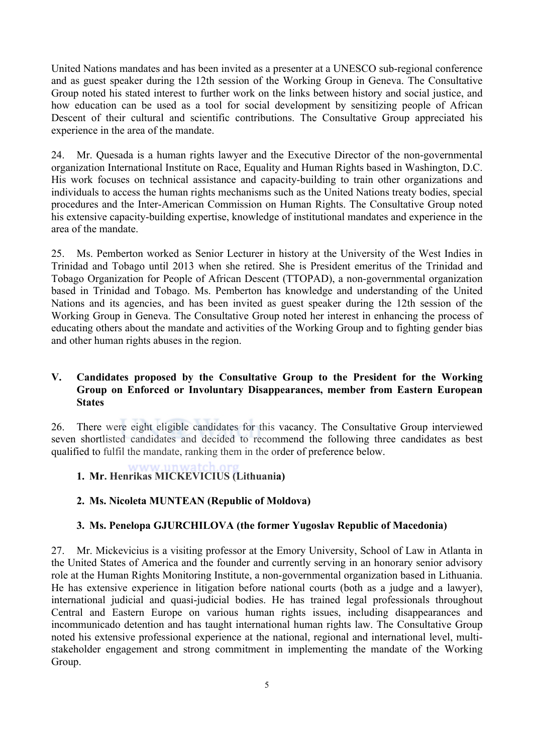United Nations mandates and has been invited as a presenter at a UNESCO sub-regional conference and as guest speaker during the 12th session of the Working Group in Geneva. The Consultative Group noted his stated interest to further work on the links between history and social justice, and how education can be used as a tool for social development by sensitizing people of African Descent of their cultural and scientific contributions. The Consultative Group appreciated his experience in the area of the mandate.

24. Mr. Quesada is a human rights lawyer and the Executive Director of the non-governmental organization International Institute on Race, Equality and Human Rights based in Washington, D.C. His work focuses on technical assistance and capacity-building to train other organizations and individuals to access the human rights mechanisms such as the United Nations treaty bodies, special procedures and the Inter-American Commission on Human Rights. The Consultative Group noted his extensive capacity-building expertise, knowledge of institutional mandates and experience in the area of the mandate.

25. Ms. Pemberton worked as Senior Lecturer in history at the University of the West Indies in Trinidad and Tobago until 2013 when she retired. She is President emeritus of the Trinidad and Tobago Organization for People of African Descent (TTOPAD), a non-governmental organization based in Trinidad and Tobago. Ms. Pemberton has knowledge and understanding of the United Nations and its agencies, and has been invited as guest speaker during the 12th session of the Working Group in Geneva. The Consultative Group noted her interest in enhancing the process of educating others about the mandate and activities of the Working Group and to fighting gender bias and other human rights abuses in the region.

#### **V. Candidates proposed by the Consultative Group to the President for the Working Group on Enforced or Involuntary Disappearances, member from Eastern European States**

26. There were eight eligible candidates for this vacancy. The Consultative Group interviewed seven shortlisted candidates and decided to recommend the following three candidates as best qualified to fulfil the mandate, ranking them in the order of preference below.

**1. Mr. Henrikas MICKEVICIUS (Lithuania)**

## **2. Ms. Nicoleta MUNTEAN (Republic of Moldova)**

#### **3. Ms. Penelopa GJURCHILOVA (the former Yugoslav Republic of Macedonia)**

27. Mr. Mickevicius is a visiting professor at the Emory University, School of Law in Atlanta in the United States of America and the founder and currently serving in an honorary senior advisory role at the Human Rights Monitoring Institute, a non-governmental organization based in Lithuania. He has extensive experience in litigation before national courts (both as a judge and a lawyer), international judicial and quasi-judicial bodies. He has trained legal professionals throughout Central and Eastern Europe on various human rights issues, including disappearances and incommunicado detention and has taught international human rights law. The Consultative Group noted his extensive professional experience at the national, regional and international level, multistakeholder engagement and strong commitment in implementing the mandate of the Working Group.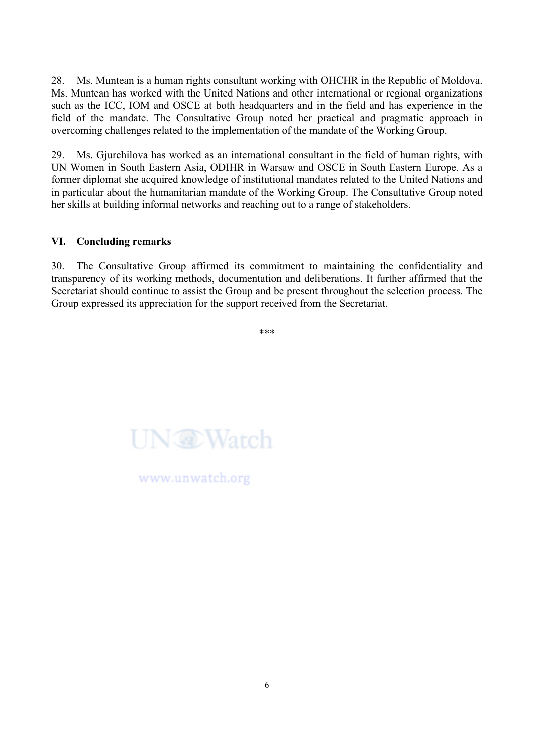28. Ms. Muntean is a human rights consultant working with OHCHR in the Republic of Moldova. Ms. Muntean has worked with the United Nations and other international or regional organizations such as the ICC. IOM and OSCE at both headquarters and in the field and has experience in the field of the mandate. The Consultative Group noted her practical and pragmatic approach in overcoming challenges related to the implementation of the mandate of the Working Group.

29. Ms. Gjurchilova has worked as an international consultant in the field of human rights, with UN Women in South Eastern Asia, ODIHR in Warsaw and OSCE in South Eastern Europe. As a former diplomat she acquired knowledge of institutional mandates related to the United Nations and in particular about the humanitarian mandate of the Working Group. The Consultative Group noted her skills at building informal networks and reaching out to a range of stakeholders.

#### **VI. Concluding remarks**

30. The Consultative Group affirmed its commitment to maintaining the confidentiality and transparency of its working methods, documentation and deliberations. It further affirmed that the Secretariat should continue to assist the Group and be present throughout the selection process. The Group expressed its appreciation for the support received from the Secretariat.

\*\*\*



www.unwatch.org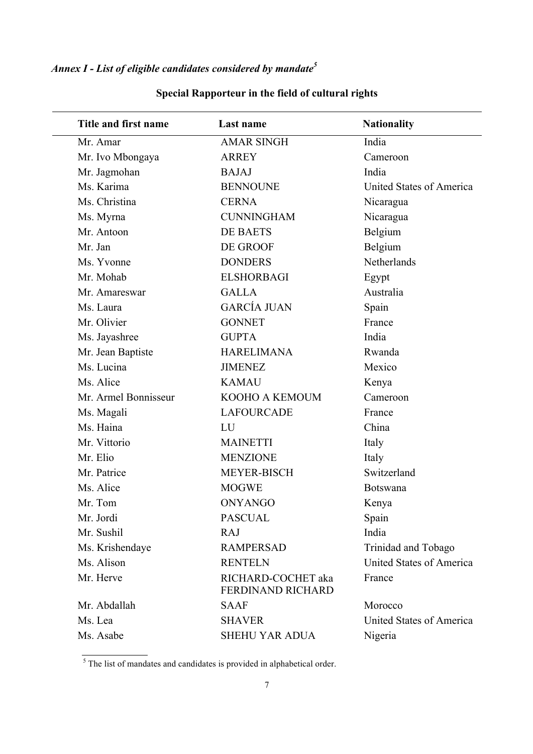*Annex I - List of eligible candidates considered by mandate<sup>5</sup>*

| Title and first name | Last name                               | <b>Nationality</b>       |
|----------------------|-----------------------------------------|--------------------------|
| Mr. Amar             | <b>AMAR SINGH</b>                       | India                    |
| Mr. Ivo Mbongaya     | <b>ARREY</b>                            | Cameroon                 |
| Mr. Jagmohan         | <b>BAJAJ</b>                            | India                    |
| Ms. Karima           | <b>BENNOUNE</b>                         | United States of America |
| Ms. Christina        | <b>CERNA</b>                            | Nicaragua                |
| Ms. Myrna            | <b>CUNNINGHAM</b>                       | Nicaragua                |
| Mr. Antoon           | <b>DE BAETS</b>                         | Belgium                  |
| Mr. Jan              | DE GROOF                                | Belgium                  |
| Ms. Yvonne           | <b>DONDERS</b>                          | Netherlands              |
| Mr. Mohab            | <b>ELSHORBAGI</b>                       | Egypt                    |
| Mr. Amareswar        | <b>GALLA</b>                            | Australia                |
| Ms. Laura            | <b>GARCÍA JUAN</b>                      | Spain                    |
| Mr. Olivier          | <b>GONNET</b>                           | France                   |
| Ms. Jayashree        | <b>GUPTA</b>                            | India                    |
| Mr. Jean Baptiste    | <b>HARELIMANA</b>                       | Rwanda                   |
| Ms. Lucina           | <b>JIMENEZ</b>                          | Mexico                   |
| Ms. Alice            | <b>KAMAU</b>                            | Kenya                    |
| Mr. Armel Bonnisseur | KOOHO A KEMOUM                          | Cameroon                 |
| Ms. Magali           | <b>LAFOURCADE</b>                       | France                   |
| Ms. Haina            | LU                                      | China                    |
| Mr. Vittorio         | <b>MAINETTI</b>                         | Italy                    |
| Mr. Elio             | <b>MENZIONE</b>                         | Italy                    |
| Mr. Patrice          | <b>MEYER-BISCH</b>                      | Switzerland              |
| Ms. Alice            | <b>MOGWE</b>                            | <b>Botswana</b>          |
| Mr. Tom              | <b>ONYANGO</b>                          | Kenya                    |
| Mr. Jordi            | <b>PASCUAL</b>                          | Spain                    |
| Mr. Sushil           | <b>RAJ</b>                              | India                    |
| Ms. Krishendaye      | <b>RAMPERSAD</b>                        | Trinidad and Tobago      |
| Ms. Alison           | <b>RENTELN</b>                          | United States of America |
| Mr. Herve            | RICHARD-COCHET aka<br>FERDINAND RICHARD | France                   |
| Mr. Abdallah         | <b>SAAF</b>                             | Morocco                  |
| Ms. Lea              | <b>SHAVER</b>                           | United States of America |
| Ms. Asabe            | SHEHU YAR ADUA                          | Nigeria                  |

# **Special Rapporteur in the field of cultural rights**

 $\frac{1}{5}$  The list of mandates and candidates is provided in alphabetical order.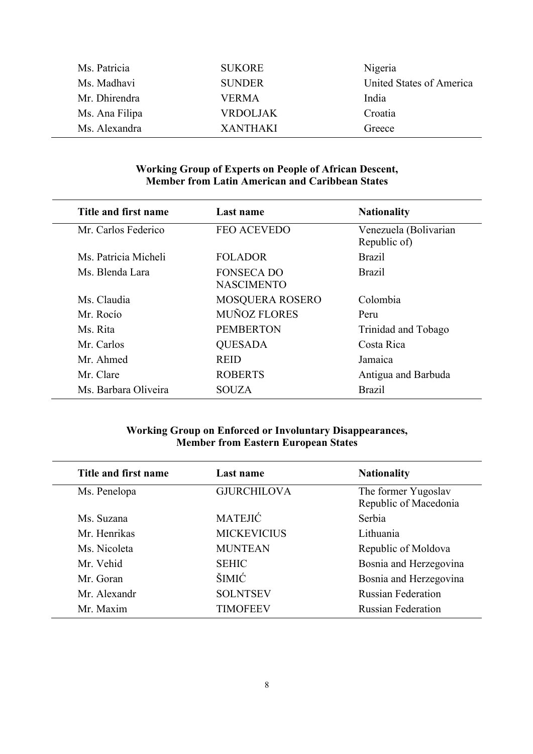| Ms. Patricia   | <b>SUKORE</b>   | Nigeria                  |
|----------------|-----------------|--------------------------|
| Ms. Madhavi    | <b>SUNDER</b>   | United States of America |
| Mr. Dhirendra  | <b>VERMA</b>    | India                    |
| Ms. Ana Filipa | <b>VRDOLJAK</b> | Croatia                  |
| Ms. Alexandra  | <b>XANTHAKI</b> | Greece                   |

#### **Working Group of Experts on People of African Descent, Member from Latin American and Caribbean States**

| Title and first name | Last name                              | <b>Nationality</b>                    |
|----------------------|----------------------------------------|---------------------------------------|
| Mr. Carlos Federico  | <b>FEO ACEVEDO</b>                     | Venezuela (Bolivarian<br>Republic of) |
| Ms. Patricia Micheli | <b>FOLADOR</b>                         | <b>Brazil</b>                         |
| Ms. Blenda Lara      | <b>FONSECA DO</b><br><b>NASCIMENTO</b> | <b>Brazil</b>                         |
| Ms. Claudia          | <b>MOSQUERA ROSERO</b>                 | Colombia                              |
| Mr. Rocío            | <b>MUÑOZ FLORES</b>                    | Peru                                  |
| Ms. Rita             | <b>PEMBERTON</b>                       | Trinidad and Tobago                   |
| Mr. Carlos           | <b>QUESADA</b>                         | Costa Rica                            |
| Mr. Ahmed            | <b>REID</b>                            | Jamaica                               |
| Mr. Clare            | <b>ROBERTS</b>                         | Antigua and Barbuda                   |
| Ms. Barbara Oliveira | <b>SOUZA</b>                           | <b>Brazil</b>                         |

## **Working Group on Enforced or Involuntary Disappearances, Member from Eastern European States**

| Title and first name | Last name          | <b>Nationality</b>                           |
|----------------------|--------------------|----------------------------------------------|
| Ms. Penelopa         | <b>GJURCHILOVA</b> | The former Yugoslav<br>Republic of Macedonia |
| Ms. Suzana           | <b>MATEJIĆ</b>     | Serbia                                       |
| Mr. Henrikas         | <b>MICKEVICIUS</b> | Lithuania                                    |
| Ms. Nicoleta         | <b>MUNTEAN</b>     | Republic of Moldova                          |
| Mr. Vehid            | <b>SEHIC</b>       | Bosnia and Herzegovina                       |
| Mr. Goran            | <b>ŠIMIĆ</b>       | Bosnia and Herzegovina                       |
| Mr. Alexandr         | <b>SOLNTSEV</b>    | <b>Russian Federation</b>                    |
| Mr. Maxim            | <b>TIMOFEEV</b>    | <b>Russian Federation</b>                    |
|                      |                    |                                              |